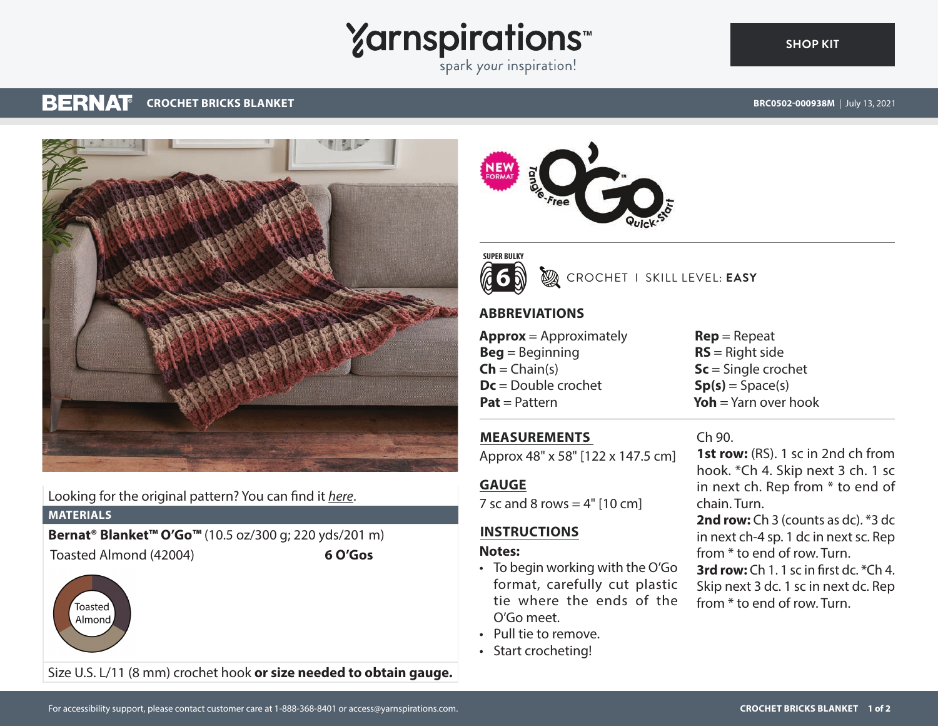# **Yarnspirations**

spark your inspiration!

#### **BERNAT CROCHET BRICKS BLANKET**

**[SHOP KIT](https://www.yarnspirations.com/BRC0502-000938M.html#utm_source=pdf-yarnspirations&utm_medium=referral)**



Looking for the original pattern? You can find it *[here](https://www.yarnspirations.com/on/demandware.static/-/Sites-master-catalog-spinrite/default/dw8fe365ae/PDF/BRC0502-000938M-1.pdf)*.

**MATERIALS**

**Bernat® Blanket™ O'Go™** (10.5 oz/300 g; 220 yds/201 m) Toasted Almond (42004) **6 O'Gos**



Size U.S. L/11 (8 mm) crochet hook **or size needed to obtain gauge.**





### CROCHET I SKILL LEVEL: **EASY**

#### **ABBREVIATIONS**

**Approx** = Approximately **Beg** = Beginning  $Ch = Chain(s)$ **Dc** = Double crochet **Pat** = Pattern

## **MEASUREMENTS**

Approx 48" x 58" [122 x 147.5 cm]

#### **GAUGE**

7 sc and 8 rows  $= 4"$  [10 cm]

#### **INSTRUCTIONS**

#### **Notes:**

- To begin working with the O'Go format, carefully cut plastic tie where the ends of the O'Go meet.
- Pull tie to remove.
- Start crocheting!

**Rep** = Repeat **RS** = Right side **Sc** = Single crochet  $Sp(s) = Space(s)$ **Yoh** = Yarn over hook

#### Ch 90.

**1st row:** (RS). 1 sc in 2nd ch from hook. \*Ch 4. Skip next 3 ch. 1 sc in next ch. Rep from \* to end of chain. Turn.

**2nd row:** Ch 3 (counts as dc). \*3 dc in next ch-4 sp. 1 dc in next sc. Rep from \* to end of row. Turn.

**3rd row:** Ch 1. 1 sc in first dc. \*Ch 4. Skip next 3 dc. 1 sc in next dc. Rep from \* to end of row. Turn.